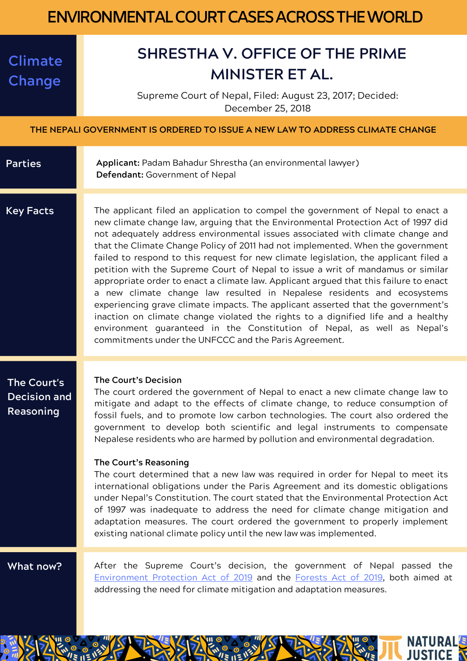## **ENVIRONMENTAL COURT CASES ACROSS THE WORLD**

## **Climate Change**

## **SHRESTHA V. OFFICE OF THE PRIME MINISTER ET AL.**

Supreme Court of Nepal, Filed: August 23, 2017; Decided: December 25, 2018

**THE NEPALI GOVERNMENT IS ORDERED TO ISSUE A NEW LAW TO ADDRESS CLIMATE CHANGE**

| <b>Parties</b>                                         | Applicant: Padam Bahadur Shrestha (an environmental lawyer)<br>Defendant: Government of Nepal                                                                                                                                                                                                                                                                                                                                                                                                                                                                                                                                                                                                                                                                                                                                                                                                                                                                                                       |  |
|--------------------------------------------------------|-----------------------------------------------------------------------------------------------------------------------------------------------------------------------------------------------------------------------------------------------------------------------------------------------------------------------------------------------------------------------------------------------------------------------------------------------------------------------------------------------------------------------------------------------------------------------------------------------------------------------------------------------------------------------------------------------------------------------------------------------------------------------------------------------------------------------------------------------------------------------------------------------------------------------------------------------------------------------------------------------------|--|
| <b>Key Facts</b>                                       | The applicant filed an application to compel the government of Nepal to enact a<br>new climate change law, arguing that the Environmental Protection Act of 1997 did<br>not adequately address environmental issues associated with climate change and<br>that the Climate Change Policy of 2011 had not implemented. When the government<br>failed to respond to this request for new climate legislation, the applicant filed a<br>petition with the Supreme Court of Nepal to issue a writ of mandamus or similar<br>appropriate order to enact a climate law. Applicant argued that this failure to enact<br>a new climate change law resulted in Nepalese residents and ecosystems<br>experiencing grave climate impacts. The applicant asserted that the government's<br>inaction on climate change violated the rights to a dignified life and a healthy<br>environment quaranteed in the Constitution of Nepal, as well as Nepal's<br>commitments under the UNFCCC and the Paris Agreement. |  |
| The Court's<br><b>Decision and</b><br><b>Reasoning</b> | The Court's Decision<br>The court ordered the government of Nepal to enact a new climate change law to<br>mitigate and adapt to the effects of climate change, to reduce consumption of<br>fossil fuels, and to promote low carbon technologies. The court also ordered the<br>government to develop both scientific and legal instruments to compensate<br>Nepalese residents who are harmed by pollution and environmental degradation.<br>The Court's Reasoning<br>The court determined that a new law was required in order for Nepal to meet its<br>international obligations under the Paris Agreement and its domestic obligations<br>under Nepal's Constitution. The court stated that the Environmental Protection Act<br>of 1997 was inadequate to address the need for climate change mitigation and<br>adaptation measures. The court ordered the government to properly implement<br>existing national climate policy until the new law was implemented.                               |  |
| What now?                                              | After the Supreme Court's decision, the government of Nepal passed the<br>Environment Protection Act of 2019 and the Forests Act of 2019, both aimed at<br>addressing the need for climate mitigation and adaptation measures.                                                                                                                                                                                                                                                                                                                                                                                                                                                                                                                                                                                                                                                                                                                                                                      |  |

**NATURALS JUSTICE**